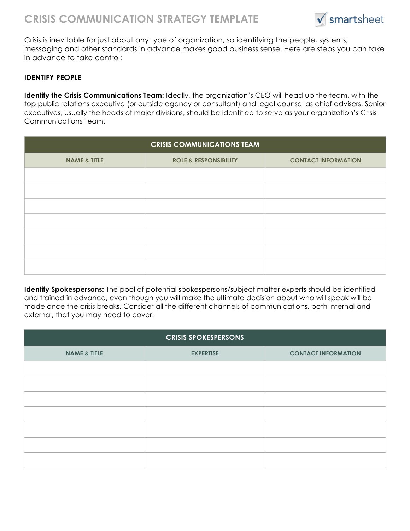

Crisis is inevitable for just about any type of organization, so identifying the people, systems, messaging and other standards in advance makes good business sense. Here are steps you can take in advance to take control:

## **IDENTIFY PEOPLE**

**Identify the Crisis Communications Team:** Ideally, the organization's CEO will head up the team, with the top public relations executive (or outside agency or consultant) and legal counsel as chief advisers. Senior executives, usually the heads of major divisions, should be identified to serve as your organization's Crisis Communications Team.

| <b>CRISIS COMMUNICATIONS TEAM</b> |                                  |                            |  |
|-----------------------------------|----------------------------------|----------------------------|--|
| <b>NAME &amp; TITLE</b>           | <b>ROLE &amp; RESPONSIBILITY</b> | <b>CONTACT INFORMATION</b> |  |
|                                   |                                  |                            |  |
|                                   |                                  |                            |  |
|                                   |                                  |                            |  |
|                                   |                                  |                            |  |
|                                   |                                  |                            |  |
|                                   |                                  |                            |  |
|                                   |                                  |                            |  |

**Identify Spokespersons:** The pool of potential spokespersons/subject matter experts should be identified and trained in advance, even though you will make the ultimate decision about who will speak will be made once the crisis breaks. Consider all the different channels of communications, both internal and external, that you may need to cover.

| <b>CRISIS SPOKESPERSONS</b> |                  |                            |  |
|-----------------------------|------------------|----------------------------|--|
| <b>NAME &amp; TITLE</b>     | <b>EXPERTISE</b> | <b>CONTACT INFORMATION</b> |  |
|                             |                  |                            |  |
|                             |                  |                            |  |
|                             |                  |                            |  |
|                             |                  |                            |  |
|                             |                  |                            |  |
|                             |                  |                            |  |
|                             |                  |                            |  |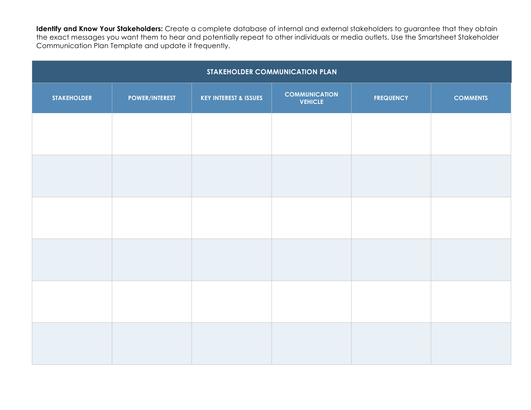**Identify and Know Your Stakeholders:** Create a complete database of internal and external stakeholders to guarantee that they obtain the exact messages you want them to hear and potentially repeat to other individuals or media outlets. Use the Smartsheet Stakeholder Communication Plan Template and update it frequently.

| STAKEHOLDER COMMUNICATION PLAN |                       |                                  |                                        |                  |                 |
|--------------------------------|-----------------------|----------------------------------|----------------------------------------|------------------|-----------------|
| <b>STAKEHOLDER</b>             | <b>POWER/INTEREST</b> | <b>KEY INTEREST &amp; ISSUES</b> | <b>COMMUNICATION</b><br><b>VEHICLE</b> | <b>FREQUENCY</b> | <b>COMMENTS</b> |
|                                |                       |                                  |                                        |                  |                 |
|                                |                       |                                  |                                        |                  |                 |
|                                |                       |                                  |                                        |                  |                 |
|                                |                       |                                  |                                        |                  |                 |
|                                |                       |                                  |                                        |                  |                 |
|                                |                       |                                  |                                        |                  |                 |
|                                |                       |                                  |                                        |                  |                 |
|                                |                       |                                  |                                        |                  |                 |
|                                |                       |                                  |                                        |                  |                 |
|                                |                       |                                  |                                        |                  |                 |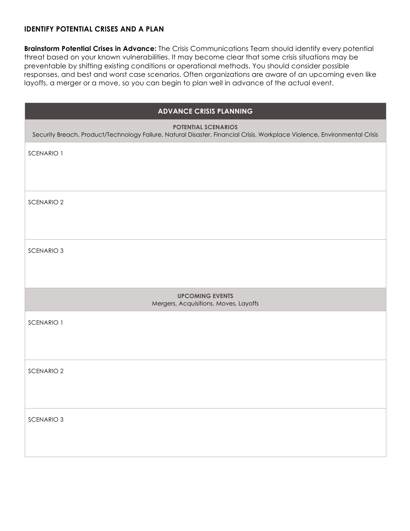# **IDENTIFY POTENTIAL CRISES AND A PLAN**

**Brainstorm Potential Crises in Advance:** The Crisis Communications Team should identify every potential threat based on your known vulnerabilities. It may become clear that some crisis situations may be preventable by shifting existing conditions or operational methods. You should consider possible responses, and best and worst case scenarios. Often organizations are aware of an upcoming even like layoffs, a merger or a move, so you can begin to plan well in advance of the actual event.

| <b>ADVANCE CRISIS PLANNING</b>                                                                                                                          |  |  |  |
|---------------------------------------------------------------------------------------------------------------------------------------------------------|--|--|--|
| <b>POTENTIAL SCENARIOS</b><br>Security Breach, Product/Technology Failure, Natural Disaster, Financial Crisis, Workplace Violence, Environmental Crisis |  |  |  |
| SCENARIO 1                                                                                                                                              |  |  |  |
|                                                                                                                                                         |  |  |  |
| <b>SCENARIO 2</b>                                                                                                                                       |  |  |  |
|                                                                                                                                                         |  |  |  |
| <b>SCENARIO 3</b>                                                                                                                                       |  |  |  |
|                                                                                                                                                         |  |  |  |
| <b>UPCOMING EVENTS</b><br>Mergers, Acquisitions, Moves, Layoffs                                                                                         |  |  |  |
| SCENARIO 1                                                                                                                                              |  |  |  |
|                                                                                                                                                         |  |  |  |
| <b>SCENARIO 2</b>                                                                                                                                       |  |  |  |
|                                                                                                                                                         |  |  |  |
| <b>SCENARIO 3</b>                                                                                                                                       |  |  |  |
|                                                                                                                                                         |  |  |  |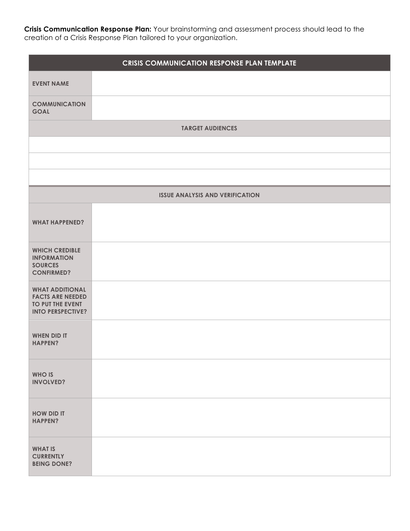**Crisis Communication Response Plan:** Your brainstorming and assessment process should lead to the creation of a Crisis Response Plan tailored to your organization.

|                                                                                                   | <b>CRISIS COMMUNICATION RESPONSE PLAN TEMPLATE</b> |
|---------------------------------------------------------------------------------------------------|----------------------------------------------------|
| <b>EVENT NAME</b>                                                                                 |                                                    |
| <b>COMMUNICATION</b><br><b>GOAL</b>                                                               |                                                    |
|                                                                                                   | <b>TARGET AUDIENCES</b>                            |
|                                                                                                   |                                                    |
|                                                                                                   |                                                    |
|                                                                                                   |                                                    |
|                                                                                                   | <b>ISSUE ANALYSIS AND VERIFICATION</b>             |
| <b>WHAT HAPPENED?</b>                                                                             |                                                    |
| <b>WHICH CREDIBLE</b><br><b>INFORMATION</b><br><b>SOURCES</b><br><b>CONFIRMED?</b>                |                                                    |
| <b>WHAT ADDITIONAL</b><br><b>FACTS ARE NEEDED</b><br>TO PUT THE EVENT<br><b>INTO PERSPECTIVE?</b> |                                                    |
| <b>WHEN DID IT</b><br><b>HAPPEN?</b>                                                              |                                                    |
| <b>WHO IS</b><br><b>INVOLVED?</b>                                                                 |                                                    |
| <b>HOW DID IT</b><br><b>HAPPEN?</b>                                                               |                                                    |
| <b>WHAT IS</b><br><b>CURRENTLY</b><br><b>BEING DONE?</b>                                          |                                                    |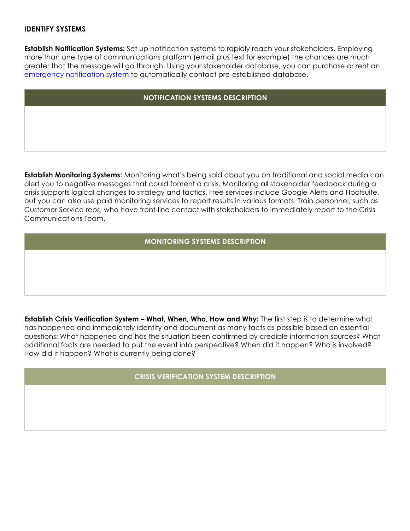# **IDENTIFY SYSTEMS**

**Establish Notification Systems:** Set up notification systems to rapidly reach your stakeholders. Employing more than one type of communications platform (email plus text for example) the chances are much greater that the message will go through. Using your stakeholder database, you can purchase or rent an emergency notification system to automatically contact pre-established database.

#### **NOTIFICATION SYSTEMS DESCRIPTION**

**Establish Monitoring Systems:** Monitoring what's being said about you on traditional and social media can alert you to negative messages that could foment a crisis. Monitoring all stakeholder feedback during a crisis supports logical changes to strategy and tactics. Free services include Google Alerts and Hootsuite, but you can also use paid monitoring services to report results in various formats. Train personnel, such as Customer Service reps, who have front-line contact with stakeholders to immediately report to the Crisis Communications Team.

#### **MONITORING SYSTEMS DESCRIPTION**

**Establish Crisis Verification System – What, When, Who, How and Why:** The first step is to determine what has happened and immediately identify and document as many facts as possible based on essential questions: What happened and has the situation been confirmed by credible information sources? What additional facts are needed to put the event into perspective? When did it happen? Who is involved? How did it happen? What is currently being done?

**CRISIS VERIFICATION SYSTEM DESCRIPTION**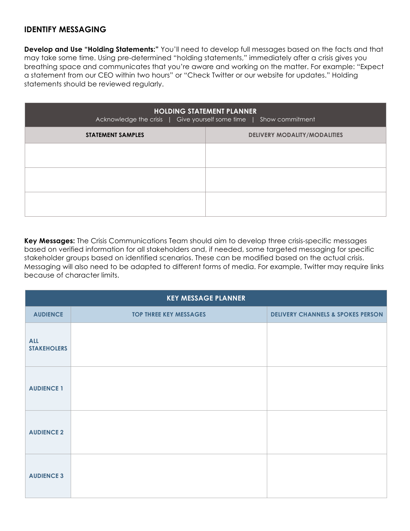# **IDENTIFY MESSAGING**

**Develop and Use "Holding Statements:"** You'll need to develop full messages based on the facts and that may take some time. Using pre-determined "holding statements," immediately after a crisis gives you breathing space and communicates that you're aware and working on the matter. For example: "Expect a statement from our CEO within two hours" or "Check Twitter or our website for updates." Holding statements should be reviewed regularly.

| <b>HOLDING STATEMENT PLANNER</b><br>Acknowledge the crisis   Give yourself some time   Show commitment |                                     |  |  |
|--------------------------------------------------------------------------------------------------------|-------------------------------------|--|--|
| <b>STATEMENT SAMPLES</b>                                                                               | <b>DELIVERY MODALITY/MODALITIES</b> |  |  |
|                                                                                                        |                                     |  |  |
|                                                                                                        |                                     |  |  |
|                                                                                                        |                                     |  |  |

**Key Messages:** The Crisis Communications Team should aim to develop three crisis-specific messages based on verified information for all stakeholders and, if needed, some targeted messaging for specific stakeholder groups based on identified scenarios. These can be modified based on the actual crisis. Messaging will also need to be adapted to different forms of media. For example, Twitter may require links because of character limits.

| <b>KEY MESSAGE PLANNER</b>       |                               |                                              |  |
|----------------------------------|-------------------------------|----------------------------------------------|--|
| <b>AUDIENCE</b>                  | <b>TOP THREE KEY MESSAGES</b> | <b>DELIVERY CHANNELS &amp; SPOKES PERSON</b> |  |
| <b>ALL</b><br><b>STAKEHOLERS</b> |                               |                                              |  |
| <b>AUDIENCE 1</b>                |                               |                                              |  |
| <b>AUDIENCE 2</b>                |                               |                                              |  |
| <b>AUDIENCE 3</b>                |                               |                                              |  |